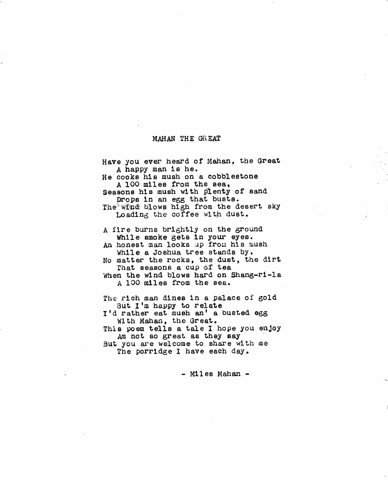## MAHAN THE GREAT

| Have you ever heard of Mahan, the Great                                               |
|---------------------------------------------------------------------------------------|
| A happy man is he.<br>He cooks his mush on a cobblestone<br>A 100 miles from the sea, |
| Seasons his mush with plenty of sand<br>Drops in an egg that busts.                   |
| The wind blows high from the desert sky<br>Loading the coffee with dust.              |
| A fire burns brightly on the ground<br>While smoke gets in your eyes.                 |
| An honest man looks up from his mush<br>While a Joshua tree stands by.                |
| No matter the rocks, the dust, the dirt<br>That seasons a cup of tea                  |
| When the wind blows hard on Shang-ri-la<br>A 100 miles from the sea.                  |
| The rich man dines in a palace of gold<br>But I'm happy to relate                     |
| I'd rather eat mush an' a busted egg<br>With Mahan, the Great.                        |
| This poem tells a tale I hope you enjoy<br>Am not so great as they say                |
| But you are welcome to share with me                                                  |

The porridge I have each day.

- Miles Mahan -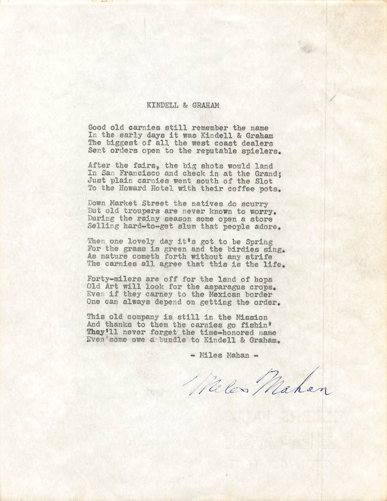## KINDELL & GRAHAM

Good old carnies still remember the name In the early days it was Kindell & Graham The biggest of all the west coast dealers Sent orders open to the reputable spielers.

After the fairs, the big shots would land In San Francisco and check in at the Grand; Just plain carnies went south of the Slot To the Howard Hotel with their coffee pots.

Down Market Street the natives do scurry But old troupers are never known to worry, During the rainy season some open a store Selling hard-to-get slum that people adore.

Then one lovely day it's got to be Spring For the grass is green and the birdies sing. As nature cometh forth without any strife The carnies all agree that this is the life.

Forty-milers are off for the land of hops Old Art will look for the asparagus crops, Even if they carney to the Mexican border One can always depend on getting the order.

This old company is still in the Mission And thanks to them the carnies go fishin' They'll never forget the time-honored name Even'some owe a bundle to Kindell & Graham.

 $-Miles$  Mahan  $-$ 

Wales Mahen